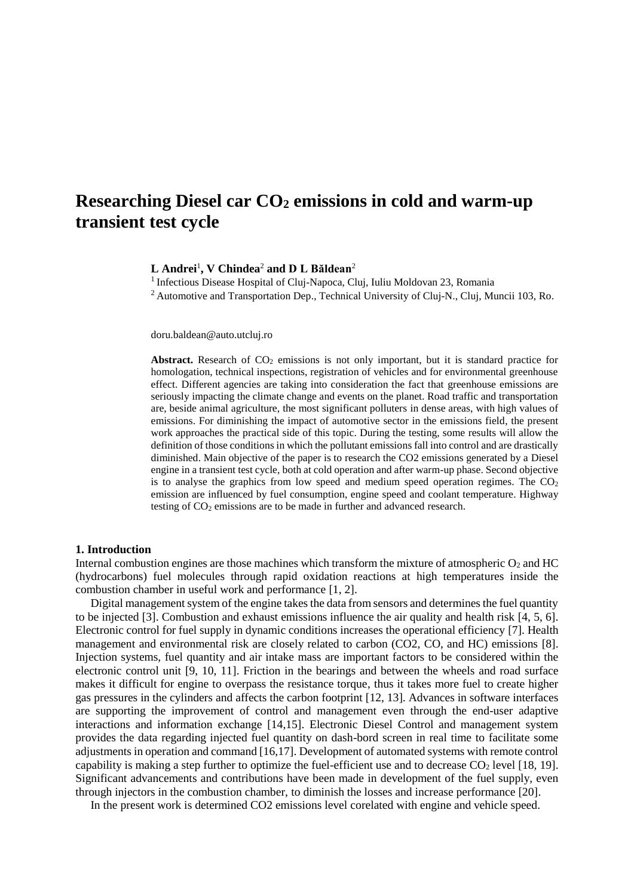# **Researching Diesel car CO<sup>2</sup> emissions in cold and warm-up transient test cycle**

**L Andrei**<sup>1</sup> **, V Chindea**<sup>2</sup> **and D L Băldean**<sup>2</sup>

<sup>1</sup> Infectious Disease Hospital of Cluj-Napoca, Cluj, Iuliu Moldovan 23, Romania

<sup>2</sup> Automotive and Transportation Dep., Technical University of Cluj-N., Cluj, Muncii 103, Ro.

doru.baldean@auto.utcluj.ro

**Abstract.** Research of  $CO<sub>2</sub>$  emissions is not only important, but it is standard practice for homologation, technical inspections, registration of vehicles and for environmental greenhouse effect. Different agencies are taking into consideration the fact that greenhouse emissions are seriously impacting the climate change and events on the planet. Road traffic and transportation are, beside animal agriculture, the most significant polluters in dense areas, with high values of emissions. For diminishing the impact of automotive sector in the emissions field, the present work approaches the practical side of this topic. During the testing, some results will allow the definition of those conditions in which the pollutant emissions fall into control and are drastically diminished. Main objective of the paper is to research the CO2 emissions generated by a Diesel engine in a transient test cycle, both at cold operation and after warm-up phase. Second objective is to analyse the graphics from low speed and medium speed operation regimes. The  $CO<sub>2</sub>$ emission are influenced by fuel consumption, engine speed and coolant temperature. Highway testing of CO<sub>2</sub> emissions are to be made in further and advanced research.

## **1. Introduction**

Internal combustion engines are those machines which transform the mixture of atmospheric  $O_2$  and HC (hydrocarbons) fuel molecules through rapid oxidation reactions at high temperatures inside the combustion chamber in useful work and performance [1, 2].

Digital management system of the engine takes the data from sensors and determines the fuel quantity to be injected [3]. Combustion and exhaust emissions influence the air quality and health risk [4, 5, 6]. Electronic control for fuel supply in dynamic conditions increases the operational efficiency [7]. Health management and environmental risk are closely related to carbon (CO2, CO, and HC) emissions [8]. Injection systems, fuel quantity and air intake mass are important factors to be considered within the electronic control unit [9, 10, 11]. Friction in the bearings and between the wheels and road surface makes it difficult for engine to overpass the resistance torque, thus it takes more fuel to create higher gas pressures in the cylinders and affects the carbon footprint [12, 13]. Advances in software interfaces are supporting the improvement of control and management even through the end-user adaptive interactions and information exchange [14,15]. Electronic Diesel Control and management system provides the data regarding injected fuel quantity on dash-bord screen in real time to facilitate some adjustments in operation and command [16,17]. Development of automated systems with remote control capability is making a step further to optimize the fuel-efficient use and to decrease  $CO<sub>2</sub>$  level [18, 19]. Significant advancements and contributions have been made in development of the fuel supply, even through injectors in the combustion chamber, to diminish the losses and increase performance [20].

In the present work is determined CO2 emissions level corelated with engine and vehicle speed.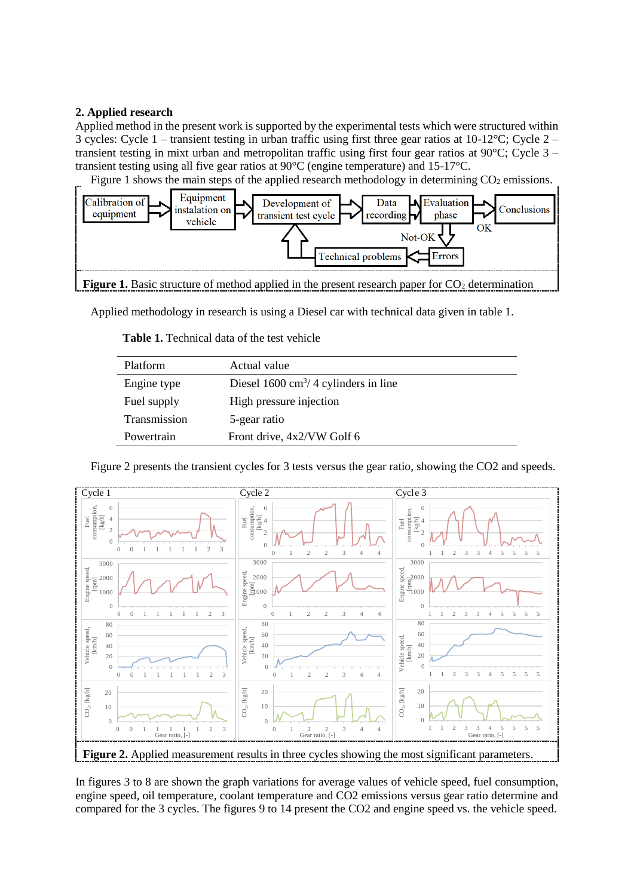# **2. Applied research**

Applied method in the present work is supported by the experimental tests which were structured within 3 cycles: Cycle 1 – transient testing in urban traffic using first three gear ratios at 10-12°C; Cycle 2 – transient testing in mixt urban and metropolitan traffic using first four gear ratios at  $90^{\circ}$ C; Cycle 3 – transient testing using all five gear ratios at 90°C (engine temperature) and 15-17°C.

Figure 1 shows the main steps of the applied research methodology in determining  $CO<sub>2</sub>$  emissions.



Applied methodology in research is using a Diesel car with technical data given in table 1.

| <b>Platform</b> | Actual value                                   |
|-----------------|------------------------------------------------|
| Engine type     | Diesel $1600 \text{ cm}^3/4$ cylinders in line |
| Fuel supply     | High pressure injection                        |
| Transmission    | 5-gear ratio                                   |
| Powertrain      | Front drive, 4x2/VW Golf 6                     |

**Table 1.** Technical data of the test vehicle



Figure 2 presents the transient cycles for 3 tests versus the gear ratio, showing the CO2 and speeds.

In figures 3 to 8 are shown the graph variations for average values of vehicle speed, fuel consumption, engine speed, oil temperature, coolant temperature and CO2 emissions versus gear ratio determine and compared for the 3 cycles. The figures 9 to 14 present the CO2 and engine speed vs. the vehicle speed.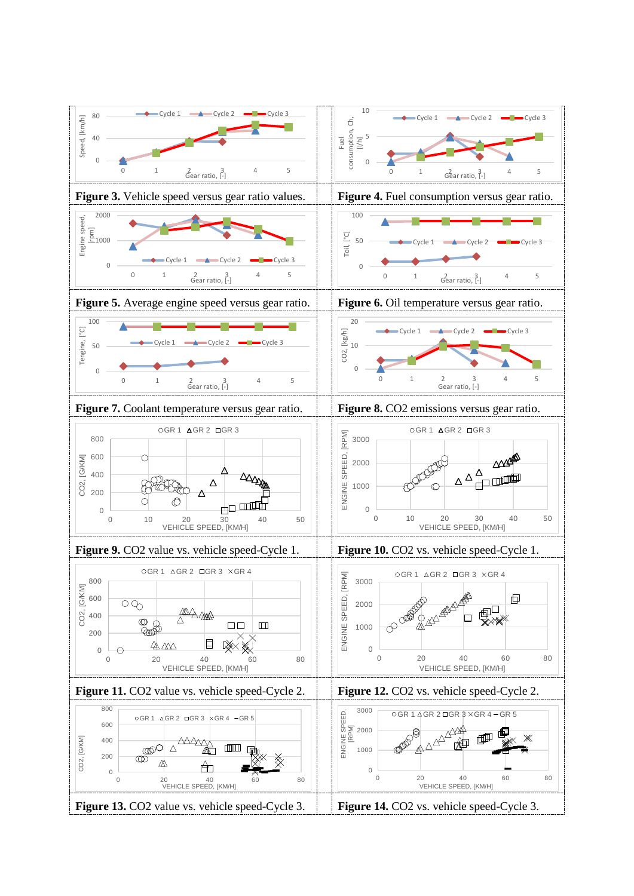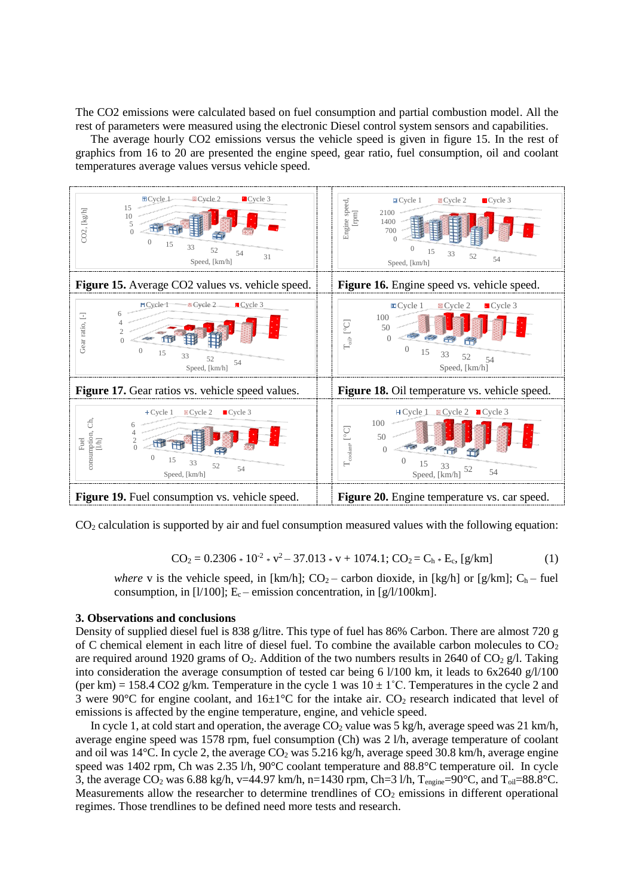The CO2 emissions were calculated based on fuel consumption and partial combustion model. All the rest of parameters were measured using the electronic Diesel control system sensors and capabilities.

The average hourly CO2 emissions versus the vehicle speed is given in figure 15. In the rest of graphics from 16 to 20 are presented the engine speed, gear ratio, fuel consumption, oil and coolant temperatures average values versus vehicle speed.



 $CO<sub>2</sub>$  calculation is supported by air and fuel consumption measured values with the following equation:

$$
CO_2 = 0.2306 * 10^{2} * v^{2} - 37.013 * v + 1074.1; CO_2 = C_h * E_c, [g/km]
$$
 (1)

*where* v is the vehicle speed, in  $[km/h]$ ;  $CO_2$  – carbon dioxide, in  $[kg/h]$  or  $[g/km]$ ;  $C_h$  – fuel consumption, in  $[1/100]$ ; E<sub>c</sub> – emission concentration, in  $[g/l/100km]$ .

#### **3. Observations and conclusions**

Density of supplied diesel fuel is 838 g/litre. This type of fuel has 86% Carbon. There are almost 720 g of C chemical element in each litre of diesel fuel. To combine the available carbon molecules to  $CO<sub>2</sub>$ are required around 1920 grams of  $O_2$ . Addition of the two numbers results in 2640 of  $CO_2$  g/l. Taking into consideration the average consumption of tested car being 6 l/100 km, it leads to 6x2640 g/l/100 (per km) = 158.4 CO2 g/km. Temperature in the cycle 1 was  $10 \pm 1$ °C. Temperatures in the cycle 2 and 3 were 90 $\degree$ C for engine coolant, and 16 $\pm$ 1 $\degree$ C for the intake air. CO<sub>2</sub> research indicated that level of emissions is affected by the engine temperature, engine, and vehicle speed.

In cycle 1, at cold start and operation, the average  $CO<sub>2</sub>$  value was 5 kg/h, average speed was 21 km/h, average engine speed was 1578 rpm, fuel consumption (Ch) was 2 l/h, average temperature of coolant and oil was 14°C. In cycle 2, the average  $CO<sub>2</sub>$  was 5.216 kg/h, average speed 30.8 km/h, average engine speed was 1402 rpm, Ch was 2.35 l/h, 90°C coolant temperature and 88.8°C temperature oil. In cycle 3, the average  $CO_2$  was 6.88 kg/h, v=44.97 km/h, n=1430 rpm, Ch=3 l/h, T<sub>engine</sub>=90°C, and T<sub>oil</sub>=88.8°C. Measurements allow the researcher to determine trendlines of  $CO<sub>2</sub>$  emissions in different operational regimes. Those trendlines to be defined need more tests and research.